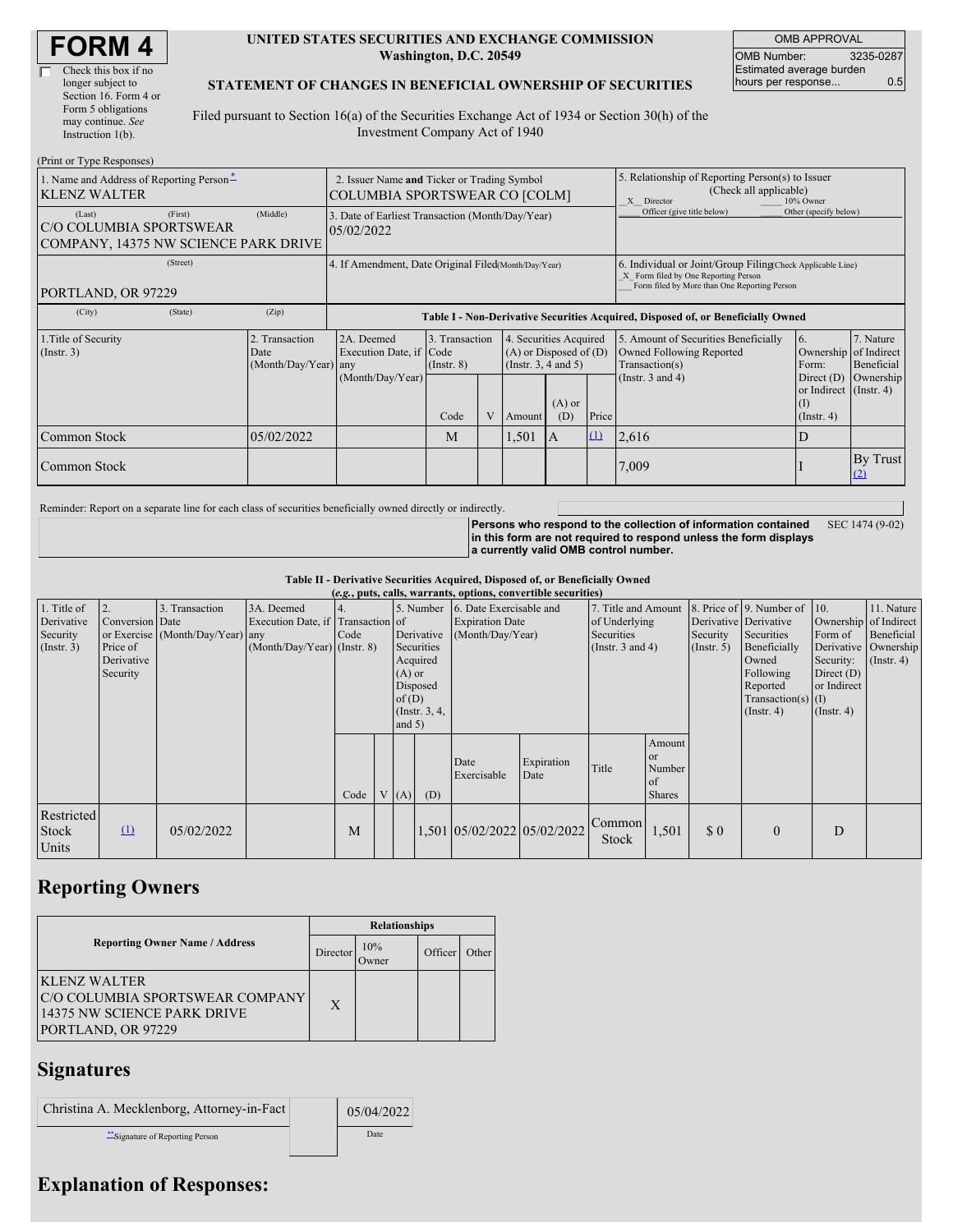| <b>FORM 4</b> |  |
|---------------|--|
|---------------|--|

| Check this box if no  |
|-----------------------|
| longer subject to     |
| Section 16. Form 4 or |
| Form 5 obligations    |
| may continue. See     |
| Instruction 1(b).     |
|                       |

#### **UNITED STATES SECURITIES AND EXCHANGE COMMISSION Washington, D.C. 20549**

OMB APPROVAL OMB Number: 3235-0287 Estimated average burden hours per response... 0.5

#### **STATEMENT OF CHANGES IN BENEFICIAL OWNERSHIP OF SECURITIES**

Filed pursuant to Section 16(a) of the Securities Exchange Act of 1934 or Section 30(h) of the Investment Company Act of 1940

| (Print or Type Responses)                                                            |                                                |                                                                                  |                                   |   |                                                                              |                 |                                                                                                       |                                                                                                                                                    |                                                                 |                         |  |
|--------------------------------------------------------------------------------------|------------------------------------------------|----------------------------------------------------------------------------------|-----------------------------------|---|------------------------------------------------------------------------------|-----------------|-------------------------------------------------------------------------------------------------------|----------------------------------------------------------------------------------------------------------------------------------------------------|-----------------------------------------------------------------|-------------------------|--|
| 1. Name and Address of Reporting Person-<br><b>KLENZ WALTER</b>                      |                                                | 2. Issuer Name and Ticker or Trading Symbol<br>COLUMBIA SPORTSWEAR CO [COLM]     |                                   |   |                                                                              |                 | 5. Relationship of Reporting Person(s) to Issuer<br>(Check all applicable)<br>10% Owner<br>X Director |                                                                                                                                                    |                                                                 |                         |  |
| (First)<br>(Last)<br>C/O COLUMBIA SPORTSWEAR<br>COMPANY, 14375 NW SCIENCE PARK DRIVE | (Middle)                                       | 3. Date of Earliest Transaction (Month/Day/Year)<br>05/02/2022                   |                                   |   |                                                                              |                 | Officer (give title below)<br>Other (specify below)                                                   |                                                                                                                                                    |                                                                 |                         |  |
| (Street)<br>PORTLAND, OR 97229                                                       |                                                | 4. If Amendment, Date Original Filed(Month/Day/Year)                             |                                   |   |                                                                              |                 |                                                                                                       | 6. Individual or Joint/Group Filing(Check Applicable Line)<br>X Form filed by One Reporting Person<br>Form filed by More than One Reporting Person |                                                                 |                         |  |
| (City)<br>(State)                                                                    | (Zip)                                          | Table I - Non-Derivative Securities Acquired, Disposed of, or Beneficially Owned |                                   |   |                                                                              |                 |                                                                                                       |                                                                                                                                                    |                                                                 |                         |  |
| 1. Title of Security<br>(Insert. 3)                                                  | 2. Transaction<br>Date<br>(Month/Day/Year) any | 2A. Deemed<br>Execution Date, if Code                                            | 3. Transaction<br>$($ Instr. $8)$ |   | 4. Securities Acquired<br>$(A)$ or Disposed of $(D)$<br>(Insert. 3, 4 and 5) |                 |                                                                                                       | 5. Amount of Securities Beneficially<br>Owned Following Reported<br>Transaction(s)                                                                 | 6.<br>Ownership of Indirect<br>Form:                            | 7. Nature<br>Beneficial |  |
|                                                                                      |                                                | (Month/Day/Year)                                                                 | Code                              | V | <b>Amount</b>                                                                | $(A)$ or<br>(D) | Price                                                                                                 | (Instr. $3$ and $4$ )                                                                                                                              | Direct (D)<br>or Indirect (Instr. 4)<br>(1)<br>$($ Instr. 4 $)$ | Ownership               |  |
| Common Stock                                                                         | 05/02/2022                                     |                                                                                  | M                                 |   | 1,501                                                                        | A               | $\Omega$                                                                                              | 2,616                                                                                                                                              | D                                                               |                         |  |
| Common Stock                                                                         |                                                |                                                                                  |                                   |   |                                                                              |                 |                                                                                                       | 7,009                                                                                                                                              |                                                                 | By Trust<br>(2)         |  |

Reminder: Report on a separate line for each class of securities beneficially owned directly or indirectly.

**Persons who respond to the collection of information contained in this form are not required to respond unless the form displays a currently valid OMB control number.** SEC 1474 (9-02)

**Table II - Derivative Securities Acquired, Disposed of, or Beneficially Owned**

| (e.g., puts, calls, warrants, options, convertible securities) |                                                             |                                                    |                                                                                |      |  |                                  |                                                                                  |                                                                       |                    |                                                                                    |                                                          |                                                  |                                                                                                                                          |                                                                                                  |                                                                      |
|----------------------------------------------------------------|-------------------------------------------------------------|----------------------------------------------------|--------------------------------------------------------------------------------|------|--|----------------------------------|----------------------------------------------------------------------------------|-----------------------------------------------------------------------|--------------------|------------------------------------------------------------------------------------|----------------------------------------------------------|--------------------------------------------------|------------------------------------------------------------------------------------------------------------------------------------------|--------------------------------------------------------------------------------------------------|----------------------------------------------------------------------|
| 1. Title of<br>Derivative<br>Security<br>$($ Instr. 3 $)$      | 2.<br>Conversion Date<br>Price of<br>Derivative<br>Security | 3. Transaction<br>or Exercise (Month/Day/Year) any | 3A. Deemed<br>Execution Date, if Transaction of<br>(Month/Day/Year) (Instr. 8) | Code |  | $(A)$ or<br>of $(D)$<br>and $5)$ | 5. Number<br>Derivative<br>Securities<br>Acquired<br>Disposed<br>(Instr. $3, 4,$ | 6. Date Exercisable and<br><b>Expiration Date</b><br>(Month/Day/Year) |                    | 7. Title and Amount<br>of Underlying<br><b>Securities</b><br>(Instr. $3$ and $4$ ) |                                                          | Derivative Derivative<br>Security<br>(Insert. 5) | 8. Price of 9. Number of 10.<br>Securities<br>Beneficially<br>Owned<br>Following<br>Reported<br>Transaction(s) $(I)$<br>$($ Instr. 4 $)$ | Ownership of Indirect<br>Form of<br>Security:<br>Direct $(D)$<br>or Indirect<br>$($ Instr. 4 $)$ | 11. Nature<br>Beneficial<br>Derivative Ownership<br>$($ Instr. 4 $)$ |
|                                                                |                                                             |                                                    |                                                                                | Code |  | V(A)                             | (D)                                                                              | Date<br>Exercisable                                                   | Expiration<br>Date | Title                                                                              | Amount<br><sub>or</sub><br>Number<br>of<br><b>Shares</b> |                                                  |                                                                                                                                          |                                                                                                  |                                                                      |
| Restricted<br>Stock<br>Units                                   | $\Omega$                                                    | 05/02/2022                                         |                                                                                | M    |  |                                  |                                                                                  | 1,501 05/02/2022 05/02/2022                                           |                    | Common<br>Stock                                                                    | 1,501                                                    | \$0                                              | $\mathbf{0}$                                                                                                                             | D                                                                                                |                                                                      |

## **Reporting Owners**

|                                                                                                      | <b>Relationships</b> |                     |         |       |  |  |  |  |
|------------------------------------------------------------------------------------------------------|----------------------|---------------------|---------|-------|--|--|--|--|
| <b>Reporting Owner Name / Address</b>                                                                | Director             | 10%<br><b>Twner</b> | Officer | Other |  |  |  |  |
| KLENZ WALTER<br>C/O COLUMBIA SPORTSWEAR COMPANY<br>14375 NW SCIENCE PARK DRIVE<br>PORTLAND, OR 97229 | $\mathbf{X}$         |                     |         |       |  |  |  |  |

### **Signatures**

| Christina A. Mecklenborg, Attorney-in-Fact | 05/04/2022 |  |  |
|--------------------------------------------|------------|--|--|
| **Signature of Reporting Person            | Date       |  |  |

# **Explanation of Responses:**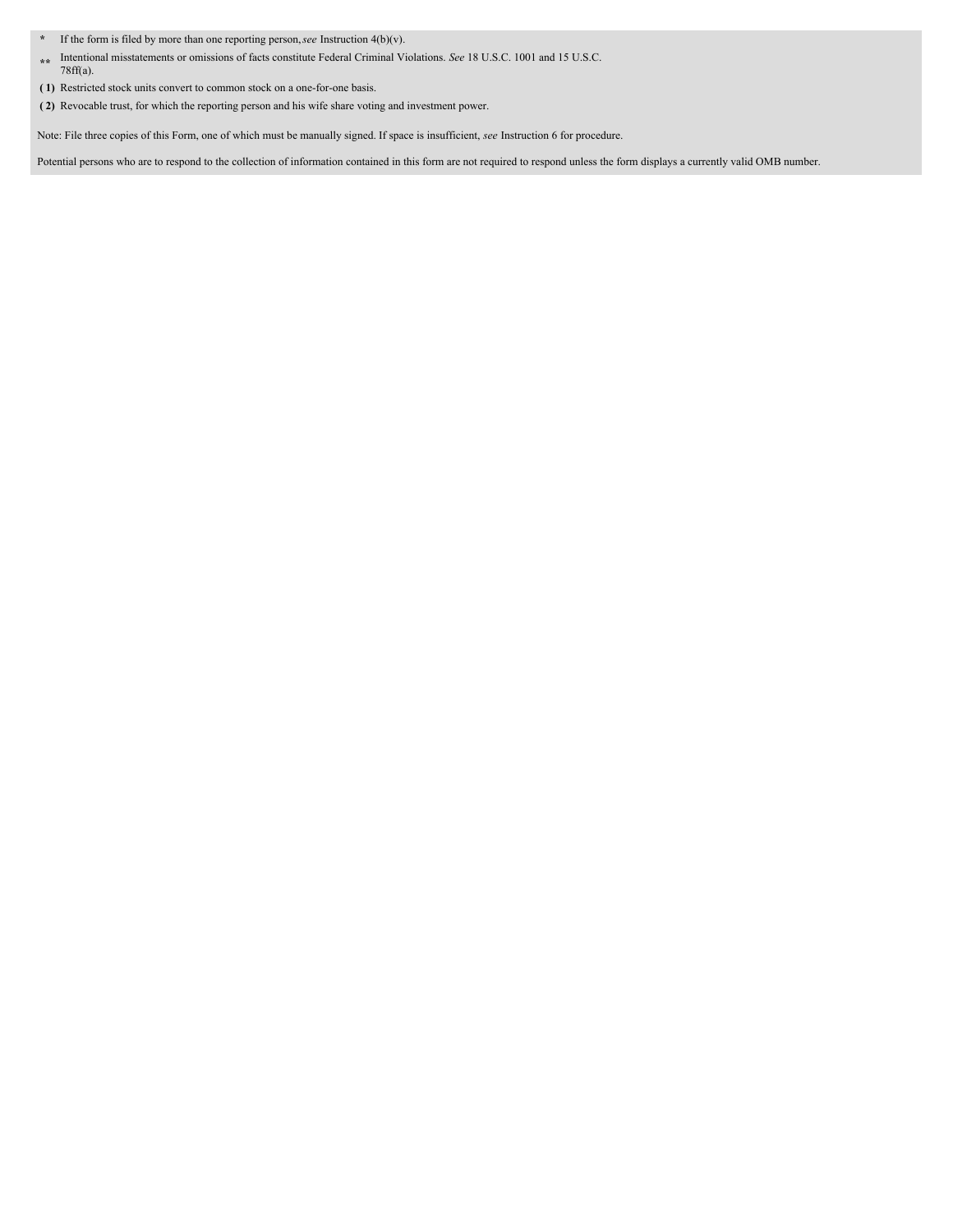- **\*** If the form is filed by more than one reporting person,*see* Instruction 4(b)(v).
- **\*\*** Intentional misstatements or omissions of facts constitute Federal Criminal Violations. *See* 18 U.S.C. 1001 and 15 U.S.C. 78ff(a).
- **( 1)** Restricted stock units convert to common stock on a one-for-one basis.
- **( 2)** Revocable trust, for which the reporting person and his wife share voting and investment power.

Note: File three copies of this Form, one of which must be manually signed. If space is insufficient, *see* Instruction 6 for procedure.

Potential persons who are to respond to the collection of information contained in this form are not required to respond unless the form displays a currently valid OMB number.